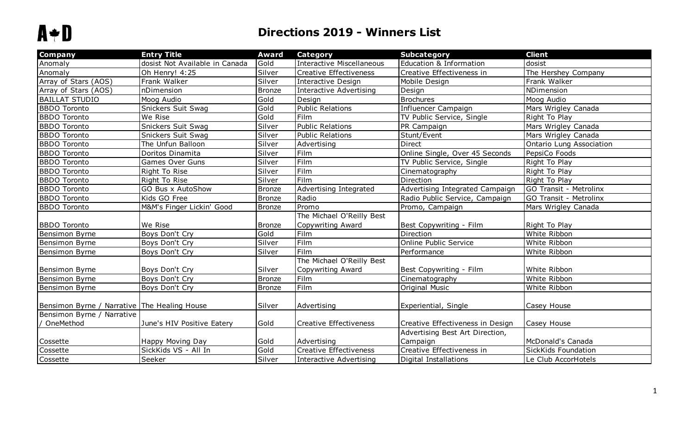| <b>Company</b>                               | <b>Entry Title</b>             | <b>Award</b>  | <b>Category</b>               | <b>Subcategory</b>               | <b>Client</b>            |
|----------------------------------------------|--------------------------------|---------------|-------------------------------|----------------------------------|--------------------------|
| Anomaly                                      | dosist Not Available in Canada | Gold          | Interactive Miscellaneous     | Education & Information          | dosist                   |
| Anomaly                                      | Oh Henry! 4:25                 | Silver        | Creative Effectiveness        | Creative Effectiveness in        | The Hershey Company      |
| Array of Stars (AOS)                         | Frank Walker                   | Silver        | Interactive Design            | Mobile Design                    | Frank Walker             |
| Array of Stars (AOS)                         | nDimension                     | <b>Bronze</b> | Interactive Advertising       | Design                           | NDimension               |
| <b>BAILLAT STUDIO</b>                        | Moog Audio                     | Gold          | Design                        | <b>Brochures</b>                 | Moog Audio               |
| <b>BBDO Toronto</b>                          | Snickers Suit Swag             | Gold          | <b>Public Relations</b>       | Influencer Campaign              | Mars Wrigley Canada      |
| <b>BBDO</b> Toronto                          | We Rise                        | Gold          | Film                          | TV Public Service, Single        | Right To Play            |
| <b>BBDO Toronto</b>                          | Snickers Suit Swag             | Silver        | <b>Public Relations</b>       | PR Campaign                      | Mars Wrigley Canada      |
| <b>BBDO Toronto</b>                          | Snickers Suit Swag             | Silver        | <b>Public Relations</b>       | Stunt/Event                      | Mars Wrigley Canada      |
| <b>BBDO Toronto</b>                          | The Unfun Balloon              | Silver        | Advertising                   | Direct                           | Ontario Lung Association |
| <b>BBDO Toronto</b>                          | Doritos Dinamita               | Silver        | Film                          | Online Single, Over 45 Seconds   | PepsiCo Foods            |
| <b>BBDO</b> Toronto                          | <b>Games Over Guns</b>         | Silver        | Film                          | TV Public Service, Single        | Right To Play            |
| <b>BBDO Toronto</b>                          | Right To Rise                  | Silver        | Film                          | Cinematography                   | Right To Play            |
| <b>BBDO Toronto</b>                          | Right To Rise                  | Silver        | Film                          | Direction                        | Right To Play            |
| <b>BBDO Toronto</b>                          | GO Bus x AutoShow              | <b>Bronze</b> | Advertising Integrated        | Advertising Integrated Campaign  | GO Transit - Metrolinx   |
| <b>BBDO Toronto</b>                          | Kids GO Free                   | <b>Bronze</b> | Radio                         | Radio Public Service, Campaign   | GO Transit - Metrolinx   |
| <b>BBDO Toronto</b>                          | M&M's Finger Lickin' Good      | Bronze        | Promo                         | Promo, Campaign                  | Mars Wrigley Canada      |
|                                              |                                |               | The Michael O'Reilly Best     |                                  |                          |
| <b>BBDO</b> Toronto                          | We Rise                        | <b>Bronze</b> | Copywriting Award             | Best Copywriting - Film          | Right To Play            |
| Bensimon Byrne                               | Boys Don't Cry                 | Gold          | Film                          | Direction                        | White Ribbon             |
| Bensimon Byrne                               | Boys Don't Cry                 | Silver        | Film                          | Online Public Service            | White Ribbon             |
| Bensimon Byrne                               | Boys Don't Cry                 | Silver        | Film                          | Performance                      | White Ribbon             |
|                                              |                                |               | The Michael O'Reilly Best     |                                  |                          |
| Bensimon Byrne                               | Boys Don't Cry                 | Silver        | Copywriting Award             | Best Copywriting - Film          | White Ribbon             |
| Bensimon Byrne                               | Boys Don't Cry                 | <b>Bronze</b> | Film                          | Cinematography                   | White Ribbon             |
| Bensimon Byrne                               | Boys Don't Cry                 | <b>Bronze</b> | Film                          | Original Music                   | White Ribbon             |
|                                              |                                |               |                               |                                  |                          |
| Bensimon Byrne / Narrative The Healing House |                                | Silver        | Advertising                   | Experiential, Single             | Casey House              |
| Bensimon Byrne / Narrative                   |                                |               |                               |                                  |                          |
| / OneMethod                                  | June's HIV Positive Eatery     | Gold          | <b>Creative Effectiveness</b> | Creative Effectiveness in Design | Casey House              |
|                                              |                                |               |                               | Advertising Best Art Direction,  |                          |
| Cossette                                     | Happy Moving Day               | Gold          | Advertising                   | Campaign                         | McDonald's Canada        |
| Cossette                                     | SickKids VS - All In           | Gold          | Creative Effectiveness        | Creative Effectiveness in        | SickKids Foundation      |
| Cossette                                     | Seeker                         | Silver        | Interactive Advertising       | Digital Installations            | Le Club AccorHotels      |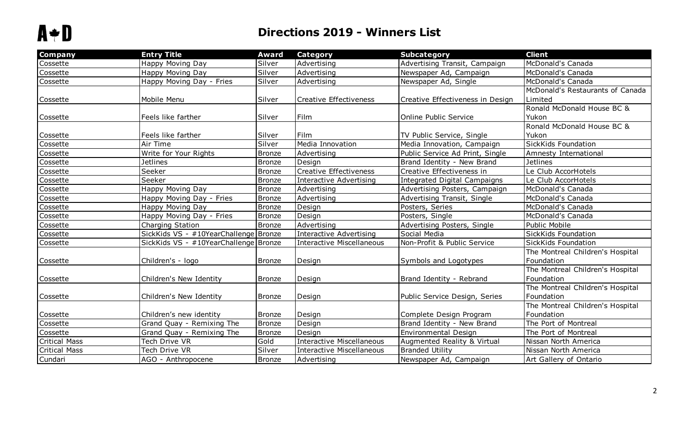| <b>Company</b>       | <b>Entry Title</b>                    | <b>Award</b>  | <b>Category</b>                  | <b>Subcategory</b>                  | <b>Client</b>                    |
|----------------------|---------------------------------------|---------------|----------------------------------|-------------------------------------|----------------------------------|
| Cossette             | Happy Moving Day                      | Silver        | Advertising                      | Advertising Transit, Campaign       | McDonald's Canada                |
| Cossette             | Happy Moving Day                      | Silver        | Advertising                      | Newspaper Ad, Campaign              | McDonald's Canada                |
| Cossette             | Happy Moving Day - Fries              | Silver        | Advertising                      | Newspaper Ad, Single                | McDonald's Canada                |
|                      |                                       |               |                                  |                                     | McDonald's Restaurants of Canada |
| Cossette             | Mobile Menu                           | Silver        | Creative Effectiveness           | Creative Effectiveness in Design    | Limited                          |
|                      |                                       |               |                                  |                                     | Ronald McDonald House BC &       |
| Cossette             | Feels like farther                    | Silver        | Film                             | Online Public Service               | Yukon                            |
|                      |                                       |               |                                  |                                     | Ronald McDonald House BC &       |
| Cossette             | Feels like farther                    | Silver        | Film                             | TV Public Service, Single           | Yukon                            |
| Cossette             | Air Time                              | Silver        | Media Innovation                 | Media Innovation, Campaign          | SickKids Foundation              |
| Cossette             | Write for Your Rights                 | <b>Bronze</b> | Advertising                      | Public Service Ad Print, Single     | Amnesty International            |
| Cossette             | <b>Jetlines</b>                       | <b>Bronze</b> | Design                           | Brand Identity - New Brand          | <b>Jetlines</b>                  |
| Cossette             | Seeker                                | <b>Bronze</b> | Creative Effectiveness           | Creative Effectiveness in           | Le Club AccorHotels              |
| Cossette             | Seeker                                | <b>Bronze</b> | <b>Interactive Advertising</b>   | <b>Integrated Digital Campaigns</b> | Le Club AccorHotels              |
| Cossette             | Happy Moving Day                      | <b>Bronze</b> | Advertising                      | Advertising Posters, Campaign       | McDonald's Canada                |
| Cossette             | Happy Moving Day - Fries              | <b>Bronze</b> | Advertising                      | <b>Advertising Transit, Single</b>  | McDonald's Canada                |
| Cossette             | Happy Moving Day                      | <b>Bronze</b> | Design                           | Posters, Series                     | McDonald's Canada                |
| Cossette             | Happy Moving Day - Fries              | Bronze        | Design                           | Posters, Single                     | McDonald's Canada                |
| Cossette             | Charging Station                      | Bronze        | Advertising                      | Advertising Posters, Single         | Public Mobile                    |
| Cossette             | SickKids VS - #10YearChallenge Bronze |               | <b>Interactive Advertising</b>   | Social Media                        | SickKids Foundation              |
| Cossette             | SickKids VS - #10YearChallenge Bronze |               | <b>Interactive Miscellaneous</b> | Non-Profit & Public Service         | SickKids Foundation              |
|                      |                                       |               |                                  |                                     | The Montreal Children's Hospital |
| Cossette             | Children's - logo                     | <b>Bronze</b> | Design                           | Symbols and Logotypes               | Foundation                       |
|                      |                                       |               |                                  |                                     | The Montreal Children's Hospital |
| Cossette             | Children's New Identity               | <b>Bronze</b> | Design                           | Brand Identity - Rebrand            | Foundation                       |
|                      |                                       |               |                                  |                                     | The Montreal Children's Hospital |
| Cossette             | Children's New Identity               | <b>Bronze</b> | Design                           | Public Service Design, Series       | Foundation                       |
|                      |                                       |               |                                  |                                     | The Montreal Children's Hospital |
| Cossette             | Children's new identity               | Bronze        | Design                           | Complete Design Program             | Foundation                       |
| Cossette             | Grand Quay - Remixing The             | Bronze        | Design                           | Brand Identity - New Brand          | The Port of Montreal             |
| Cossette             | Grand Quay - Remixing The             | <b>Bronze</b> | Design                           | Environmental Design                | The Port of Montreal             |
| <b>Critical Mass</b> | Tech Drive VR                         | Gold          | <b>Interactive Miscellaneous</b> | Augmented Reality & Virtual         | Nissan North America             |
| <b>Critical Mass</b> | Tech Drive VR                         | Silver        | <b>Interactive Miscellaneous</b> | <b>Branded Utility</b>              | Nissan North America             |
| Cundari              | AGO - Anthropocene                    | Bronze        | Advertising                      | Newspaper Ad, Campaign              | Art Gallery of Ontario           |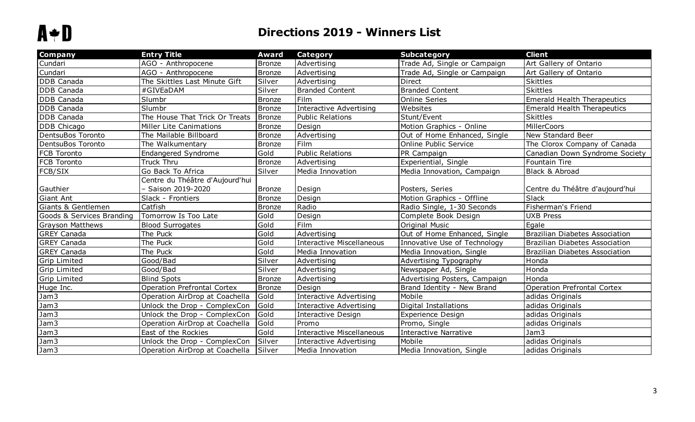| <b>Company</b>            | <b>Entry Title</b>                 | Award         | <b>Category</b>                  | <b>Subcategory</b>            | <b>Client</b>                         |
|---------------------------|------------------------------------|---------------|----------------------------------|-------------------------------|---------------------------------------|
| Cundari                   | AGO - Anthropocene                 | <b>Bronze</b> | Advertising                      | Trade Ad, Single or Campaign  | Art Gallery of Ontario                |
| Cundari                   | AGO - Anthropocene                 | <b>Bronze</b> | Advertising                      | Trade Ad, Single or Campaign  | Art Gallery of Ontario                |
| <b>DDB</b> Canada         | The Skittles Last Minute Gift      | Silver        | Advertising                      | Direct                        | <b>Skittles</b>                       |
| <b>DDB</b> Canada         | #GIVEaDAM                          | Silver        | <b>Branded Content</b>           | <b>Branded Content</b>        | <b>Skittles</b>                       |
| <b>DDB</b> Canada         | Slumbr                             | Bronze        | Film                             | <b>Online Series</b>          | <b>Emerald Health Therapeutics</b>    |
| <b>DDB</b> Canada         | Slumbr                             | <b>Bronze</b> | <b>Interactive Advertising</b>   | Websites                      | <b>Emerald Health Therapeutics</b>    |
| <b>DDB</b> Canada         | The House That Trick Or Treats     | Bronze        | <b>Public Relations</b>          | Stunt/Event                   | <b>Skittles</b>                       |
| DDB Chicago               | Miller Lite Canimations            | Bronze        | Design                           | Motion Graphics - Online      | MillerCoors                           |
| DentsuBos Toronto         | The Mailable Billboard             | Bronze        | Advertising                      | Out of Home Enhanced, Single  | New Standard Beer                     |
| DentsuBos Toronto         | The Walkumentary                   | <b>Bronze</b> | Film                             | Online Public Service         | The Clorox Company of Canada          |
| <b>FCB Toronto</b>        | <b>Endangered Syndrome</b>         | Gold          | <b>Public Relations</b>          | PR Campaign                   | Canadian Down Syndrome Society        |
| <b>FCB</b> Toronto        | Truck Thru                         | Bronze        | Advertising                      | Experiential, Single          | Fountain Tire                         |
| <b>FCB/SIX</b>            | Go Back To Africa                  | Silver        | Media Innovation                 | Media Innovation, Campaign    | Black & Abroad                        |
|                           | Centre du Théâtre d'Aujourd'hui    |               |                                  |                               |                                       |
| Gauthier                  | Saison 2019-2020                   | Bronze        | Design                           | Posters, Series               | Centre du Théâtre d'aujourd'hui       |
| Giant Ant                 | Slack - Frontiers                  | Bronze        | Design                           | Motion Graphics - Offline     | Slack                                 |
| Giants & Gentlemen        | Catfish                            | Bronze        | Radio                            | Radio Single, 1-30 Seconds    | Fisherman's Friend                    |
| Goods & Services Branding | Tomorrow Is Too Late               | Gold          | Design                           | Complete Book Design          | <b>UXB Press</b>                      |
| <b>Grayson Matthews</b>   | <b>Blood Surrogates</b>            | Gold          | Film                             | Original Music                | Egale                                 |
| <b>GREY Canada</b>        | The Puck                           | Gold          | Advertising                      | Out of Home Enhanced, Single  | <b>Brazilian Diabetes Association</b> |
| <b>GREY Canada</b>        | The Puck                           | Gold          | <b>Interactive Miscellaneous</b> | Innovative Use of Technology  | <b>Brazilian Diabetes Association</b> |
| <b>GREY Canada</b>        | The Puck                           | Gold          | Media Innovation                 | Media Innovation, Single      | <b>Brazilian Diabetes Association</b> |
| <b>Grip Limited</b>       | Good/Bad                           | Silver        | Advertising                      | Advertising Typography        | Honda                                 |
| <b>Grip Limited</b>       | Good/Bad                           | Silver        | Advertising                      | Newspaper Ad, Single          | Honda                                 |
| <b>Grip Limited</b>       | <b>Blind Spots</b>                 | Bronze        | Advertising                      | Advertising Posters, Campaign | Honda                                 |
| Huge Inc.                 | <b>Operation Prefrontal Cortex</b> | Bronze        | Design                           | Brand Identity - New Brand    | <b>Operation Prefrontal Cortex</b>    |
| Jam3                      | Operation AirDrop at Coachella     | Gold          | <b>Interactive Advertising</b>   | Mobile                        | adidas Originals                      |
| Jam3                      | Unlock the Drop - ComplexCon       | Gold          | <b>Interactive Advertising</b>   | <b>Digital Installations</b>  | adidas Originals                      |
| Jam3                      | Unlock the Drop - ComplexCon       | Gold          | Interactive Design               | Experience Design             | adidas Originals                      |
| Jam3                      | Operation AirDrop at Coachella     | Gold          | Promo                            | Promo, Single                 | adidas Originals                      |
| Jam3                      | East of the Rockies                | Gold          | <b>Interactive Miscellaneous</b> | <b>Interactive Narrative</b>  | Jam3                                  |
| Jam3                      | Unlock the Drop - ComplexCon       | Silver        | <b>Interactive Advertising</b>   | Mobile                        | adidas Originals                      |
| Jam3                      | Operation AirDrop at Coachella     | Silver        | Media Innovation                 | Media Innovation, Single      | adidas Originals                      |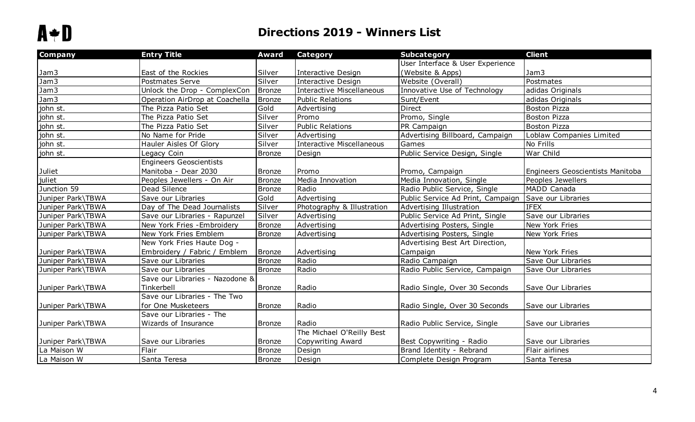| Company           | <b>Entry Title</b>              | <b>Award</b>  | <b>Category</b>                  | <b>Subcategory</b>                | <b>Client</b>                    |
|-------------------|---------------------------------|---------------|----------------------------------|-----------------------------------|----------------------------------|
|                   |                                 |               |                                  | User Interface & User Experience  |                                  |
| Jam3              | East of the Rockies             | Silver        | <b>Interactive Design</b>        | (Website & Apps)                  | Jam3                             |
| Jam3              | Postmates Serve                 | Silver        | <b>Interactive Design</b>        | Website (Overall)                 | Postmates                        |
| Jam3              | Unlock the Drop - ComplexCon    | Bronze        | <b>Interactive Miscellaneous</b> | Innovative Use of Technology      | adidas Originals                 |
| Jam3              | Operation AirDrop at Coachella  | Bronze        | <b>Public Relations</b>          | Sunt/Event                        | adidas Originals                 |
| john st.          | The Pizza Patio Set             | Gold          | Advertising                      | <b>Direct</b>                     | <b>Boston Pizza</b>              |
| john st.          | The Pizza Patio Set             | Silver        | Promo                            | Promo, Single                     | <b>Boston Pizza</b>              |
| john st.          | The Pizza Patio Set             | Silver        | <b>Public Relations</b>          | PR Campaign                       | <b>Boston Pizza</b>              |
| john st.          | No Name for Pride               | Silver        | Advertising                      | Advertising Billboard, Campaign   | Loblaw Companies Limited         |
| john st.          | Hauler Aisles Of Glory          | Silver        | <b>Interactive Miscellaneous</b> | Games                             | No Frills                        |
| john st.          | Legacy Coin                     | <b>Bronze</b> | Design                           | Public Service Design, Single     | War Child                        |
|                   | <b>Engineers Geoscientists</b>  |               |                                  |                                   |                                  |
| Juliet            | Manitoba - Dear 2030            | <b>Bronze</b> | Promo                            | Promo, Campaign                   | Engineers Geoscientists Manitoba |
| juliet            | Peoples Jewellers - On Air      | <b>Bronze</b> | Media Innovation                 | Media Innovation, Single          | Peoples Jewellers                |
| Junction 59       | Dead Silence                    | <b>Bronze</b> | Radio                            | Radio Public Service, Single      | MADD Canada                      |
| Juniper Park\TBWA | Save our Libraries              | Gold          | Advertising                      | Public Service Ad Print, Campaign | Save our Libraries               |
| Juniper Park\TBWA | Day of The Dead Journalists     | Silver        | Photography & Illustration       | Advertising Illustration          | <b>IFEX</b>                      |
| Juniper Park\TBWA | Save our Libraries - Rapunzel   | Silver        | Advertising                      | Public Service Ad Print, Single   | Save our Libraries               |
| Juniper Park\TBWA | New York Fries - Embroidery     | <b>Bronze</b> | Advertising                      | Advertising Posters, Single       | New York Fries                   |
| Juniper Park\TBWA | New York Fries Emblem           | Bronze        | Advertising                      | Advertising Posters, Single       | New York Fries                   |
|                   | New York Fries Haute Dog -      |               |                                  | Advertising Best Art Direction,   |                                  |
| Juniper Park\TBWA | Embroidery / Fabric / Emblem    | <b>Bronze</b> | Advertising                      | Campaign                          | New York Fries                   |
| Juniper Park\TBWA | Save our Libraries              | <b>Bronze</b> | Radio                            | Radio Campaign                    | Save Our Libraries               |
| Juniper Park\TBWA | Save our Libraries              | <b>Bronze</b> | Radio                            | Radio Public Service, Campaign    | Save Our Libraries               |
|                   | Save our Libraries - Nazodone & |               |                                  |                                   |                                  |
| Juniper Park\TBWA | Tinkerbell                      | <b>Bronze</b> | Radio                            | Radio Single, Over 30 Seconds     | Save Our Libraries               |
|                   | Save our Libraries - The Two    |               |                                  |                                   |                                  |
| Juniper Park\TBWA | for One Musketeers              | <b>Bronze</b> | Radio                            | Radio Single, Over 30 Seconds     | Save our Libraries               |
|                   | Save our Libraries - The        |               |                                  |                                   |                                  |
| Juniper Park\TBWA | Wizards of Insurance            | <b>Bronze</b> | Radio                            | Radio Public Service, Single      | Save our Libraries               |
|                   |                                 |               | The Michael O'Reilly Best        |                                   |                                  |
| Juniper Park\TBWA | Save our Libraries              | <b>Bronze</b> | Copywriting Award                | Best Copywriting - Radio          | Save our Libraries               |
| La Maison W       | Flair                           | <b>Bronze</b> | Design                           | Brand Identity - Rebrand          | Flair airlines                   |
| La Maison W       | Santa Teresa                    | <b>Bronze</b> | Design                           | Complete Design Program           | Santa Teresa                     |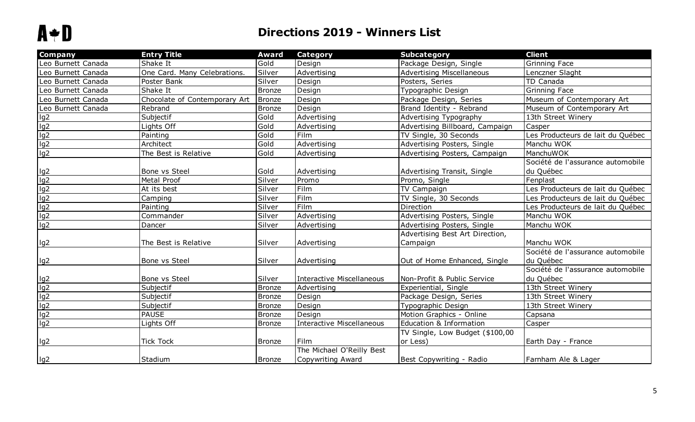| Company                                                           | <b>Entry Title</b>            | <b>Award</b>  | <b>Category</b>                  | Subcategory                        | <b>Client</b>                     |
|-------------------------------------------------------------------|-------------------------------|---------------|----------------------------------|------------------------------------|-----------------------------------|
| Leo Burnett Canada                                                | Shake It                      | Gold          | Design                           | Package Design, Single             | Grinning Face                     |
| Leo Burnett Canada                                                | One Card. Many Celebrations.  | Silver        | Advertising                      | <b>Advertising Miscellaneous</b>   | Lenczner Slaght                   |
| Leo Burnett Canada                                                | Poster Bank                   | Silver        | Design                           | Posters, Series                    | TD Canada                         |
| Leo Burnett Canada                                                | Shake It                      | <b>Bronze</b> | Design                           | Typographic Design                 | Grinning Face                     |
| Leo Burnett Canada                                                | Chocolate of Contemporary Art | Bronze        | Design                           | Package Design, Series             | Museum of Contemporary Art        |
| Leo Burnett Canada                                                | Rebrand                       | <b>Bronze</b> | Design                           | Brand Identity - Rebrand           | Museum of Contemporary Art        |
| $\frac{lg2}{lg2}$ $\frac{lg2}{lg2}$                               | Subjectif                     | Gold          | Advertising                      | Advertising Typography             | 13th Street Winery                |
|                                                                   | Lights Off                    | Gold          | Advertising                      | Advertising Billboard, Campaign    | Casper                            |
|                                                                   | Painting                      | Gold          | Film                             | TV Single, 30 Seconds              | Les Producteurs de lait du Québec |
|                                                                   | Architect                     | Gold          | Advertising                      | Advertising Posters, Single        | Manchu WOK                        |
| $\overline{1g2}$                                                  | The Best is Relative          | Gold          | Advertising                      | Advertising Posters, Campaign      | ManchuWOK                         |
|                                                                   |                               |               |                                  |                                    | Société de l'assurance automobile |
|                                                                   | Bone vs Steel                 | Gold          | Advertising                      | Advertising Transit, Single        | du Québec                         |
| $\frac{\lg 2}{\lg 2}$ $\frac{\lg 2}{\lg 2}$ $\frac{\lg 2}{\lg 2}$ | Metal Proof                   | Silver        | Promo                            | Promo, Single                      | Fenplast                          |
|                                                                   | At its best                   | Silver        | Film                             | TV Campaign                        | es Producteurs de lait du Québec  |
|                                                                   | Camping                       | Silver        | Film                             | TV Single, 30 Seconds              | Les Producteurs de lait du Québec |
|                                                                   | Painting                      | Silver        | Film                             | Direction                          | Les Producteurs de lait du Québec |
|                                                                   | Commander                     | Silver        | Advertising                      | Advertising Posters, Single        | Manchu WOK                        |
| lg2                                                               | Dancer                        | Silver        | Advertising                      | Advertising Posters, Single        | Manchu WOK                        |
|                                                                   |                               |               |                                  | Advertising Best Art Direction,    |                                   |
| lg2                                                               | The Best is Relative          | Silver        | Advertising                      | Campaign                           | Manchu WOK                        |
|                                                                   |                               |               |                                  |                                    | Société de l'assurance automobile |
| lg2                                                               | Bone vs Steel                 | Silver        | Advertising                      | Out of Home Enhanced, Single       | du Québec                         |
|                                                                   |                               |               |                                  |                                    | Société de l'assurance automobile |
| lg2                                                               | Bone vs Steel                 | Silver        | Interactive Miscellaneous        | Non-Profit & Public Service        | du Québec                         |
| lg2                                                               | Subjectif                     | <b>Bronze</b> | Advertising                      | Experiential, Single               | 13th Street Winery                |
| lg2                                                               | Subjectif                     | <b>Bronze</b> | Design                           | Package Design, Series             | 13th Street Winery                |
| $\frac{lg2}{lg2}$                                                 | Subjectif                     | <b>Bronze</b> | Design                           | Typographic Design                 | 13th Street Winery                |
|                                                                   | <b>PAUSE</b>                  | <b>Bronze</b> | Design                           | Motion Graphics - Online           | Capsana                           |
|                                                                   | Lights Off                    | <b>Bronze</b> | <b>Interactive Miscellaneous</b> | <b>Education &amp; Information</b> | Casper                            |
|                                                                   |                               |               |                                  | TV Single, Low Budget (\$100,00    |                                   |
| lg2                                                               | <b>Tick Tock</b>              | <b>Bronze</b> | Film                             | or Less)                           | Earth Day - France                |
|                                                                   |                               |               | The Michael O'Reilly Best        |                                    |                                   |
| lg <sub>2</sub>                                                   | Stadium                       | <b>Bronze</b> | Copywriting Award                | Best Copywriting - Radio           | Farnham Ale & Lager               |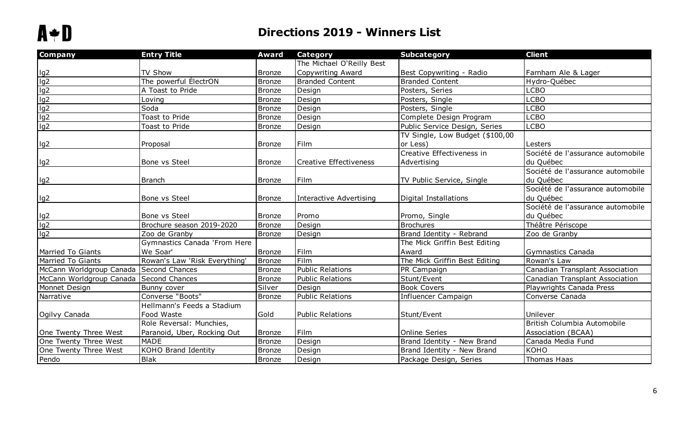| <b>Company</b>                          | <b>Entry Title</b>            | <b>Award</b>  | <b>Category</b>               | <b>Subcategory</b>              | <b>Client</b>                     |
|-----------------------------------------|-------------------------------|---------------|-------------------------------|---------------------------------|-----------------------------------|
|                                         |                               |               | The Michael O'Reilly Best     |                                 |                                   |
|                                         | TV Show                       | <b>Bronze</b> | Copywriting Award             | Best Copywriting - Radio        | Farnham Ale & Lager               |
| lg2<br>lg2<br>lg2<br>lg2<br>lg2<br>lg2  | The powerful ÉlectrON         | <b>Bronze</b> | <b>Branded Content</b>        | <b>Branded Content</b>          | Hydro-Québec                      |
|                                         | A Toast to Pride              | <b>Bronze</b> | Design                        | Posters, Series                 | <b>LCBO</b>                       |
|                                         | Loving                        | <b>Bronze</b> | Design                        | Posters, Single                 | <b>LCBO</b>                       |
|                                         | Soda                          | <b>Bronze</b> | Design                        | Posters, Single                 | <b>LCBO</b>                       |
|                                         | Toast to Pride                | <b>Bronze</b> | Design                        | Complete Design Program         | <b>LCBO</b>                       |
|                                         | Toast to Pride                | <b>Bronze</b> | Design                        | Public Service Design, Series   | <b>LCBO</b>                       |
|                                         |                               |               |                               | TV Single, Low Budget (\$100,00 |                                   |
| lg2                                     | Proposal                      | <b>Bronze</b> | Film                          | or Less)                        | Lesters                           |
|                                         |                               |               |                               | Creative Effectiveness in       | Société de l'assurance automobile |
| lg2                                     | Bone vs Steel                 | <b>Bronze</b> | <b>Creative Effectiveness</b> | Advertising                     | du Québec                         |
|                                         |                               |               |                               |                                 | Société de l'assurance automobile |
| lg2                                     | <b>Branch</b>                 | <b>Bronze</b> | Film                          | TV Public Service, Single       | du Québec                         |
|                                         |                               |               |                               |                                 | Société de l'assurance automobile |
| lg2                                     | Bone vs Steel                 | <b>Bronze</b> | Interactive Advertising       | Digital Installations           | du Québec                         |
|                                         |                               |               |                               |                                 | Société de l'assurance automobile |
|                                         | Bone vs Steel                 | <b>Bronze</b> | Promo                         | Promo, Single                   | du Québec                         |
| lg2<br>lg2                              | Brochure season 2019-2020     | Bronze        | Design                        | <b>Brochures</b>                | Théâtre Périscope                 |
| lg2                                     | Zoo de Granby                 | <b>Bronze</b> | Design                        | Brand Identity - Rebrand        | Zoo de Granby                     |
|                                         | Gymnastics Canada 'From Here  |               |                               | The Mick Griffin Best Editing   |                                   |
| <b>Married To Giants</b>                | We Soar'                      | <b>Bronze</b> | Film                          | Award                           | Gymnastics Canada                 |
| <b>Married To Giants</b>                | Rowan's Law 'Risk Everything' | <b>Bronze</b> | Film                          | The Mick Griffin Best Editing   | Rowan's Law                       |
| McCann Worldgroup Canada Second Chances |                               | <b>Bronze</b> | <b>Public Relations</b>       | PR Campaign                     | Canadian Transplant Association   |
| McCann Worldgroup Canada                | Second Chances                | <b>Bronze</b> | <b>Public Relations</b>       | Stunt/Event                     | Canadian Transplant Association   |
| Monnet Design                           | Bunny cover                   | Silver        | Design                        | <b>Book Covers</b>              | Playwrights Canada Press          |
| Narrative                               | Converse "Boots"              | <b>Bronze</b> | <b>Public Relations</b>       | Influencer Campaign             | Converse Canada                   |
|                                         | Hellmann's Feeds a Stadium    |               |                               |                                 |                                   |
| Ogilvy Canada                           | Food Waste                    | Gold          | <b>Public Relations</b>       | Stunt/Event                     | Unilever                          |
|                                         | Role Reversal: Munchies,      |               |                               |                                 | British Columbia Automobile       |
| One Twenty Three West                   | Paranoid, Uber, Rocking Out   | <b>Bronze</b> | Film                          | Online Series                   | Association (BCAA)                |
| One Twenty Three West                   | <b>MADE</b>                   | <b>Bronze</b> | Design                        | Brand Identity - New Brand      | Canada Media Fund                 |
| One Twenty Three West                   | <b>KOHO Brand Identity</b>    | Bronze        | Design                        | Brand Identity - New Brand      | KOHO                              |
| Pendo                                   | <b>Blak</b>                   | <b>Bronze</b> | Design                        | Package Design, Series          | Thomas Haas                       |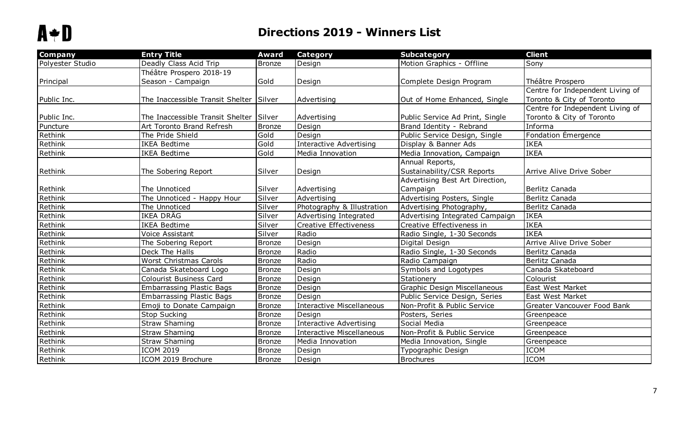| <b>Company</b>   | <b>Entry Title</b>               | <b>Award</b>  | <b>Category</b>                  | <b>Subcategory</b>              | <b>Client</b>                      |
|------------------|----------------------------------|---------------|----------------------------------|---------------------------------|------------------------------------|
| Polyester Studio | Deadly Class Acid Trip           | <b>Bronze</b> | Design                           | Motion Graphics - Offline       | Sony                               |
|                  | Théâtre Prospero 2018-19         |               |                                  |                                 |                                    |
| Principal        | Season - Campaign                | Gold          | Design                           | Complete Design Program         | Théâtre Prospero                   |
|                  |                                  |               |                                  |                                 | Centre for Independent Living of   |
| Public Inc.      | The Inaccessible Transit Shelter | Silver        | Advertising                      | Out of Home Enhanced, Single    | Toronto & City of Toronto          |
|                  |                                  |               |                                  |                                 | Centre for Independent Living of   |
| Public Inc.      | The Inaccessible Transit Shelter | Silver        | Advertising                      | Public Service Ad Print, Single | Toronto & City of Toronto          |
| Puncture         | Art Toronto Brand Refresh        | <b>Bronze</b> | Design                           | Brand Identity - Rebrand        | Informa                            |
| Rethink          | The Pride Shield                 | Gold          | Design                           | Public Service Design, Single   | Fondation Émergence                |
| Rethink          | <b>IKEA Bedtime</b>              | Gold          | <b>Interactive Advertising</b>   | Display & Banner Ads            | <b>IKEA</b>                        |
| Rethink          | <b>IKEA Bedtime</b>              | Gold          | Media Innovation                 | Media Innovation, Campaign      | <b>IKEA</b>                        |
|                  |                                  |               |                                  | Annual Reports,                 |                                    |
| Rethink          | The Sobering Report              | Silver        | Design                           | Sustainability/CSR Reports      | Arrive Alive Drive Sober           |
|                  |                                  |               |                                  | Advertising Best Art Direction, |                                    |
| Rethink          | The Unnoticed                    | Silver        | Advertising                      | Campaign                        | Berlitz Canada                     |
| Rethink          | The Unnoticed - Happy Hour       | Silver        | Advertising                      | Advertising Posters, Single     | Berlitz Canada                     |
| Rethink          | The Unnoticed                    | Silver        | Photography & Illustration       | Advertising Photography,        | Berlitz Canada                     |
| Rethink          | IKEA DRÄG                        | Silver        | Advertising Integrated           | Advertising Integrated Campaign | <b>IKEA</b>                        |
| Rethink          | <b>IKEA Bedtime</b>              | Silver        | Creative Effectiveness           | Creative Effectiveness in       | <b>IKEA</b>                        |
| Rethink          | Voice Assistant                  | Silver        | Radio                            | Radio Single, 1-30 Seconds      | <b>IKEA</b>                        |
| Rethink          | The Sobering Report              | <b>Bronze</b> | Design                           | Digital Design                  | Arrive Alive Drive Sober           |
| Rethink          | Deck The Halls                   | <b>Bronze</b> | Radio                            | Radio Single, 1-30 Seconds      | Berlitz Canada                     |
| Rethink          | <b>Worst Christmas Carols</b>    | <b>Bronze</b> | Radio                            | Radio Campaign                  | Berlitz Canada                     |
| Rethink          | Canada Skateboard Logo           | <b>Bronze</b> | Design                           | Symbols and Logotypes           | Canada Skateboard                  |
| Rethink          | <b>Colourist Business Card</b>   | <b>Bronze</b> | Design                           | Stationery                      | Colourist                          |
| Rethink          | <b>Embarrassing Plastic Bags</b> | <b>Bronze</b> | Design                           | Graphic Design Miscellaneous    | East West Market                   |
| Rethink          | <b>Embarrassing Plastic Bags</b> | <b>Bronze</b> | Design                           | Public Service Design, Series   | East West Market                   |
| Rethink          | Emoji to Donate Campaign         | <b>Bronze</b> | Interactive Miscellaneous        | Non-Profit & Public Service     | <b>Greater Vancouver Food Bank</b> |
| Rethink          | Stop Sucking                     | <b>Bronze</b> | Design                           | Posters, Series                 | Greenpeace                         |
| Rethink          | <b>Straw Shaming</b>             | <b>Bronze</b> | Interactive Advertising          | Social Media                    | Greenpeace                         |
| Rethink          | <b>Straw Shaming</b>             | <b>Bronze</b> | <b>Interactive Miscellaneous</b> | Non-Profit & Public Service     | Greenpeace                         |
| Rethink          | <b>Straw Shaming</b>             | <b>Bronze</b> | Media Innovation                 | Media Innovation, Single        | Greenpeace                         |
| Rethink          | <b>ICOM 2019</b>                 | <b>Bronze</b> | Design                           | Typographic Design              | <b>ICOM</b>                        |
| Rethink          | ICOM 2019 Brochure               | <b>Bronze</b> | Design                           | <b>Brochures</b>                | <b>ICOM</b>                        |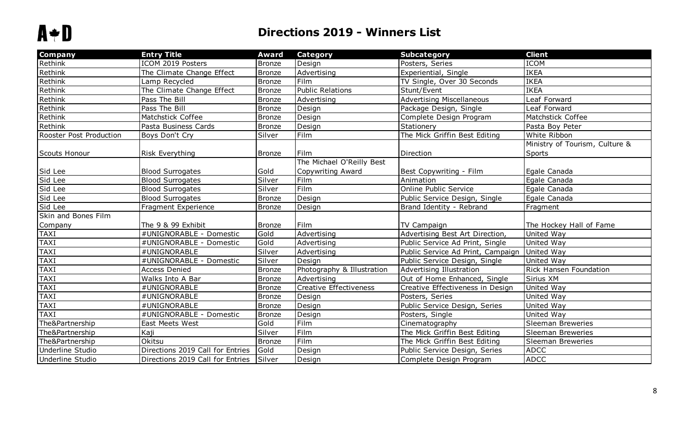| <b>Company</b>          | <b>Entry Title</b>               | <b>Award</b>  | <b>Category</b>            | <b>Subcategory</b>                | <b>Client</b>                            |
|-------------------------|----------------------------------|---------------|----------------------------|-----------------------------------|------------------------------------------|
| Rethink                 | ICOM 2019 Posters                | <b>Bronze</b> | Design                     | Posters, Series                   | <b>ICOM</b>                              |
| Rethink                 | The Climate Change Effect        | Bronze        | Advertising                | Experiential, Single              | <b>IKEA</b>                              |
| Rethink                 | Lamp Recycled                    | Bronze        | Film                       | TV Single, Over 30 Seconds        | <b>IKEA</b>                              |
| Rethink                 | The Climate Change Effect        | <b>Bronze</b> | <b>Public Relations</b>    | Stunt/Event                       | <b>IKEA</b>                              |
| Rethink                 | Pass The Bill                    | Bronze        | Advertising                | <b>Advertising Miscellaneous</b>  | Leaf Forward                             |
| Rethink                 | Pass The Bill                    | Bronze        | Design                     | Package Design, Single            | Leaf Forward                             |
| Rethink                 | Matchstick Coffee                | Bronze        | Design                     | Complete Design Program           | Matchstick Coffee                        |
| Rethink                 | Pasta Business Cards             | Bronze        | Design                     | Stationery                        | Pasta Boy Peter                          |
| Rooster Post Production | Boys Don't Cry                   | Silver        | Film                       | The Mick Griffin Best Editing     | White Ribbon                             |
| Scouts Honour           | <b>Risk Everything</b>           | Bronze        | Film                       | Direction                         | Ministry of Tourism, Culture &<br>Sports |
|                         |                                  |               | The Michael O'Reilly Best  |                                   |                                          |
| Sid Lee                 | <b>Blood Surrogates</b>          | Gold          | Copywriting Award          | Best Copywriting - Film           | Egale Canada                             |
| Sid Lee                 | <b>Blood Surrogates</b>          | Silver        | Film                       | Animation                         | Egale Canada                             |
| Sid Lee                 | <b>Blood Surrogates</b>          | Silver        | Film                       | Online Public Service             | Egale Canada                             |
| Sid Lee                 | <b>Blood Surrogates</b>          | Bronze        | Design                     | Public Service Design, Single     | Egale Canada                             |
| Sid Lee                 | Fragment Experience              | <b>Bronze</b> | Design                     | Brand Identity - Rebrand          | Fragment                                 |
| Skin and Bones Film     |                                  |               |                            |                                   |                                          |
| Company                 | The 9 & 99 Exhibit               | <b>Bronze</b> | Film                       | TV Campaign                       | The Hockey Hall of Fame                  |
| <b>TAXI</b>             | #UNIGNORABLE - Domestic          | Gold          | Advertising                | Advertising Best Art Direction,   | United Way                               |
| <b>TAXI</b>             | #UNIGNORABLE - Domestic          | Gold          | Advertising                | Public Service Ad Print, Single   | United Way                               |
| <b>TAXI</b>             | #UNIGNORABLE                     | Silver        | Advertising                | Public Service Ad Print, Campaign | United Way                               |
| <b>TAXI</b>             | #UNIGNORABLE - Domestic          | Silver        | Design                     | Public Service Design, Single     | United Way                               |
| <b>TAXI</b>             | <b>Access Denied</b>             | <b>Bronze</b> | Photography & Illustration | Advertising Illustration          | Rick Hansen Foundation                   |
| <b>TAXI</b>             | Walks Into A Bar                 | <b>Bronze</b> | Advertising                | Out of Home Enhanced, Single      | Sirius XM                                |
| <b>TAXI</b>             | #UNIGNORABLE                     | Bronze        | Creative Effectiveness     | Creative Effectiveness in Design  | United Way                               |
| <b>TAXI</b>             | #UNIGNORABLE                     | Bronze        | Design                     | Posters, Series                   | United Way                               |
| <b>TAXI</b>             | #UNIGNORABLE                     | Bronze        | Design                     | Public Service Design, Series     | United Way                               |
| <b>TAXI</b>             | #UNIGNORABLE - Domestic          | Bronze        | Design                     | Posters, Single                   | United Way                               |
| The&Partnership         | East Meets West                  | Gold          | Film                       | Cinematography                    | <b>Sleeman Breweries</b>                 |
| The&Partnership         | Kaji                             | Silver        | Film                       | The Mick Griffin Best Editing     | <b>Sleeman Breweries</b>                 |
| The&Partnership         | <b>Okitsu</b>                    | Bronze        | Film                       | The Mick Griffin Best Editing     | <b>Sleeman Breweries</b>                 |
| Underline Studio        | Directions 2019 Call for Entries | Gold          | Design                     | Public Service Design, Series     | <b>ADCC</b>                              |
| Underline Studio        | Directions 2019 Call for Entries | Silver        | Design                     | Complete Design Program           | <b>ADCC</b>                              |